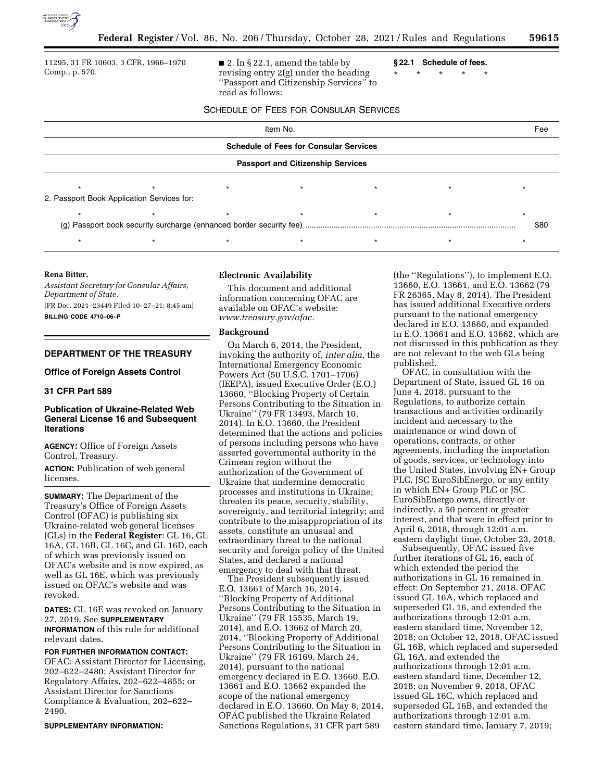

11295, 31 FR 10603, 3 CFR, 1966–1970 Comp., p. 570.

 $\blacksquare$  2. In § 22.1, amend the table by revising entry 2(g) under the heading ''Passport and Citizenship Services'' to read as follows:

**§ 22.1 Schedule of fees.**  \* \* \* \* \*

SCHEDULE OF FEES FOR CONSULAR SERVICES

| Item No.                                      |                                            |  |                                          |  |  | Fee  |
|-----------------------------------------------|--------------------------------------------|--|------------------------------------------|--|--|------|
| <b>Schedule of Fees for Consular Services</b> |                                            |  |                                          |  |  |      |
|                                               |                                            |  | <b>Passport and Citizenship Services</b> |  |  |      |
|                                               | 2. Passport Book Application Services for: |  |                                          |  |  |      |
|                                               |                                            |  |                                          |  |  | \$80 |
|                                               |                                            |  |                                          |  |  |      |

### **Rena Bitter,**

*Assistant Secretary for Consular Affairs, Department of State.*  [FR Doc. 2021–23449 Filed 10–27–21; 8:45 am] **BILLING CODE 4710–06–P** 

# **DEPARTMENT OF THE TREASURY**

### **Office of Foreign Assets Control**

### **31 CFR Part 589**

### **Publication of Ukraine-Related Web General License 16 and Subsequent Iterations**

**AGENCY:** Office of Foreign Assets Control, Treasury.

**ACTION:** Publication of web general licenses.

**SUMMARY:** The Department of the Treasury's Office of Foreign Assets Control (OFAC) is publishing six Ukraine-related web general licenses (GLs) in the **Federal Register**: GL 16, GL 16A, GL 16B, GL 16C, and GL 16D, each of which was previously issued on OFAC's website and is now expired, as well as GL 16E, which was previously issued on OFAC's website and was revoked.

**DATES:** GL 16E was revoked on January 27, 2019. See **SUPPLEMENTARY INFORMATION** of this rule for additional relevant dates.

**FOR FURTHER INFORMATION CONTACT:**  OFAC: Assistant Director for Licensing, 202–622–2480; Assistant Director for Regulatory Affairs, 202–622–4855; or Assistant Director for Sanctions Compliance & Evaluation, 202–622– 2490.

#### **SUPPLEMENTARY INFORMATION:**

## **Electronic Availability**

This document and additional information concerning OFAC are available on OFAC's website: *[www.treasury.gov/ofac.](http://www.treasury.gov/ofac)* 

### **Background**

On March 6, 2014, the President, invoking the authority of, *inter alia,* the International Emergency Economic Powers Act (50 U.S.C. 1701–1706) (IEEPA), issued Executive Order (E.O.) 13660, ''Blocking Property of Certain Persons Contributing to the Situation in Ukraine'' (79 FR 13493, March 10, 2014). In E.O. 13660, the President determined that the actions and policies of persons including persons who have asserted governmental authority in the Crimean region without the authorization of the Government of Ukraine that undermine democratic processes and institutions in Ukraine; threaten its peace, security, stability, sovereignty, and territorial integrity; and contribute to the misappropriation of its assets, constitute an unusual and extraordinary threat to the national security and foreign policy of the United States, and declared a national emergency to deal with that threat.

The President subsequently issued E.O. 13661 of March 16, 2014, ''Blocking Property of Additional Persons Contributing to the Situation in Ukraine'' (79 FR 15535, March 19, 2014), and E.O. 13662 of March 20, 2014, ''Blocking Property of Additional Persons Contributing to the Situation in Ukraine'' (79 FR 16169, March 24, 2014), pursuant to the national emergency declared in E.O. 13660. E.O. 13661 and E.O. 13662 expanded the scope of the national emergency declared in E.O. 13660. On May 8, 2014, OFAC published the Ukraine Related Sanctions Regulations, 31 CFR part 589

(the ''Regulations''), to implement E.O. 13660, E.O. 13661, and E.O. 13662 (79 FR 26365, May 8, 2014). The President has issued additional Executive orders pursuant to the national emergency declared in E.O. 13660, and expanded in E.O. 13661 and E.O. 13662, which are not discussed in this publication as they are not relevant to the web GLs being published.

OFAC, in consultation with the Department of State, issued GL 16 on June 4, 2018, pursuant to the Regulations, to authorize certain transactions and activities ordinarily incident and necessary to the maintenance or wind down of operations, contracts, or other agreements, including the importation of goods, services, or technology into the United States, involving EN+ Group PLC, JSC EuroSibEnergo, or any entity in which EN+ Group PLC or JSC EuroSibEnergo owns, directly or indirectly, a 50 percent or greater interest, and that were in effect prior to April 6, 2018, through 12:01 a.m. eastern daylight time, October 23, 2018.

Subsequently, OFAC issued five further iterations of GL 16, each of which extended the period the authorizations in GL 16 remained in effect: On September 21, 2018, OFAC issued GL 16A, which replaced and superseded GL 16, and extended the authorizations through 12:01 a.m. eastern standard time, November 12, 2018; on October 12, 2018, OFAC issued GL 16B, which replaced and superseded GL 16A, and extended the authorizations through 12:01 a.m. eastern standard time, December 12, 2018; on November 9, 2018, OFAC issued GL 16C, which replaced and superseded GL 16B, and extended the authorizations through 12:01 a.m. eastern standard time, January 7, 2019;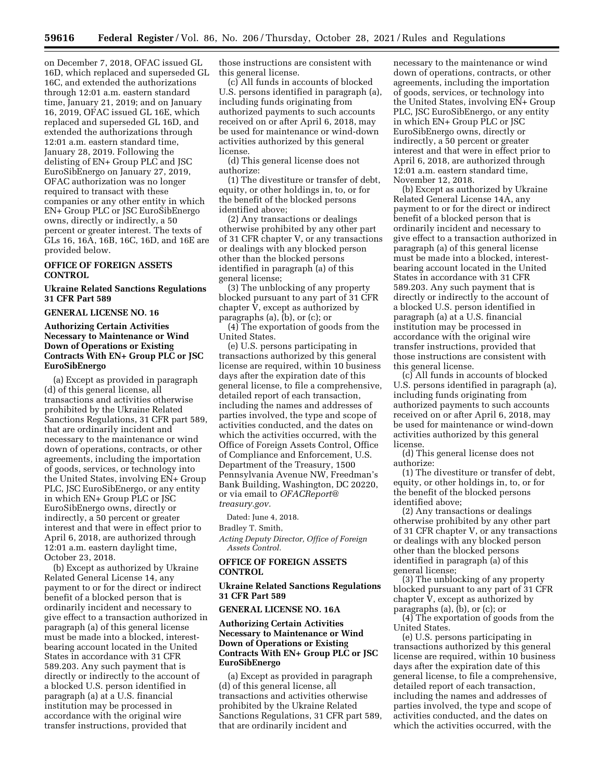on December 7, 2018, OFAC issued GL 16D, which replaced and superseded GL 16C, and extended the authorizations through 12:01 a.m. eastern standard time, January 21, 2019; and on January 16, 2019, OFAC issued GL 16E, which replaced and superseded GL 16D, and extended the authorizations through 12:01 a.m. eastern standard time, January 28, 2019. Following the delisting of EN+ Group PLC and JSC EuroSibEnergo on January 27, 2019, OFAC authorization was no longer required to transact with these companies or any other entity in which EN+ Group PLC or JSC EuroSibEnergo owns, directly or indirectly, a 50 percent or greater interest. The texts of GLs 16, 16A, 16B, 16C, 16D, and 16E are provided below.

# **OFFICE OF FOREIGN ASSETS CONTROL**

### **Ukraine Related Sanctions Regulations 31 CFR Part 589**

### **GENERAL LICENSE NO. 16**

## **Authorizing Certain Activities Necessary to Maintenance or Wind Down of Operations or Existing Contracts With EN+ Group PLC or JSC EuroSibEnergo**

(a) Except as provided in paragraph (d) of this general license, all transactions and activities otherwise prohibited by the Ukraine Related Sanctions Regulations, 31 CFR part 589, that are ordinarily incident and necessary to the maintenance or wind down of operations, contracts, or other agreements, including the importation of goods, services, or technology into the United States, involving EN+ Group PLC, JSC EuroSibEnergo, or any entity in which EN+ Group PLC or JSC EuroSibEnergo owns, directly or indirectly, a 50 percent or greater interest and that were in effect prior to April 6, 2018, are authorized through 12:01 a.m. eastern daylight time, October 23, 2018.

(b) Except as authorized by Ukraine Related General License 14, any payment to or for the direct or indirect benefit of a blocked person that is ordinarily incident and necessary to give effect to a transaction authorized in paragraph (a) of this general license must be made into a blocked, interestbearing account located in the United States in accordance with 31 CFR 589.203. Any such payment that is directly or indirectly to the account of a blocked U.S. person identified in paragraph (a) at a U.S. financial institution may be processed in accordance with the original wire transfer instructions, provided that

those instructions are consistent with this general license.

(c) All funds in accounts of blocked U.S. persons identified in paragraph (a), including funds originating from authorized payments to such accounts received on or after April 6, 2018, may be used for maintenance or wind-down activities authorized by this general license.

(d) This general license does not authorize:

(1) The divestiture or transfer of debt, equity, or other holdings in, to, or for the benefit of the blocked persons identified above;

(2) Any transactions or dealings otherwise prohibited by any other part of 31 CFR chapter V, or any transactions or dealings with any blocked person other than the blocked persons identified in paragraph (a) of this general license;

(3) The unblocking of any property blocked pursuant to any part of 31 CFR chapter  $\bar{V}$ , except as authorized by paragraphs (a), (b), or (c); or

(4) The exportation of goods from the United States.

(e) U.S. persons participating in transactions authorized by this general license are required, within 10 business days after the expiration date of this general license, to file a comprehensive, detailed report of each transaction, including the names and addresses of parties involved, the type and scope of activities conducted, and the dates on which the activities occurred, with the Office of Foreign Assets Control, Office of Compliance and Enforcement, U.S. Department of the Treasury, 1500 Pennsylvania Avenue NW, Freedman's Bank Building, Washington, DC 20220, or via email to *[OFACReport@](mailto:OFACReport@treasury.gov) [treasury.gov.](mailto:OFACReport@treasury.gov)* 

Dated: June 4, 2018.

Bradley T. Smith,

*Acting Deputy Director, Office of Foreign Assets Control.* 

## **OFFICE OF FOREIGN ASSETS CONTROL**

### **Ukraine Related Sanctions Regulations 31 CFR Part 589**

### **GENERAL LICENSE NO. 16A**

## **Authorizing Certain Activities Necessary to Maintenance or Wind Down of Operations or Existing Contracts With EN+ Group PLC or JSC EuroSibEnergo**

(a) Except as provided in paragraph (d) of this general license, all transactions and activities otherwise prohibited by the Ukraine Related Sanctions Regulations, 31 CFR part 589, that are ordinarily incident and

necessary to the maintenance or wind down of operations, contracts, or other agreements, including the importation of goods, services, or technology into the United States, involving EN+ Group PLC, JSC EuroSibEnergo, or any entity in which EN+ Group PLC or JSC EuroSibEnergo owns, directly or indirectly, a 50 percent or greater interest and that were in effect prior to April 6, 2018, are authorized through 12:01 a.m. eastern standard time, November 12, 2018.

(b) Except as authorized by Ukraine Related General License 14A, any payment to or for the direct or indirect benefit of a blocked person that is ordinarily incident and necessary to give effect to a transaction authorized in paragraph (a) of this general license must be made into a blocked, interestbearing account located in the United States in accordance with 31 CFR 589.203. Any such payment that is directly or indirectly to the account of a blocked U.S. person identified in paragraph (a) at a U.S. financial institution may be processed in accordance with the original wire transfer instructions, provided that those instructions are consistent with this general license.

(c) All funds in accounts of blocked U.S. persons identified in paragraph (a), including funds originating from authorized payments to such accounts received on or after April 6, 2018, may be used for maintenance or wind-down activities authorized by this general license.

(d) This general license does not authorize:

(1) The divestiture or transfer of debt, equity, or other holdings in, to, or for the benefit of the blocked persons identified above;

(2) Any transactions or dealings otherwise prohibited by any other part of 31 CFR chapter V, or any transactions or dealings with any blocked person other than the blocked persons identified in paragraph (a) of this general license;

(3) The unblocking of any property blocked pursuant to any part of 31 CFR chapter V, except as authorized by paragraphs (a), (b), or (c); or

(4) The exportation of goods from the United States.

(e) U.S. persons participating in transactions authorized by this general license are required, within 10 business days after the expiration date of this general license, to file a comprehensive, detailed report of each transaction, including the names and addresses of parties involved, the type and scope of activities conducted, and the dates on which the activities occurred, with the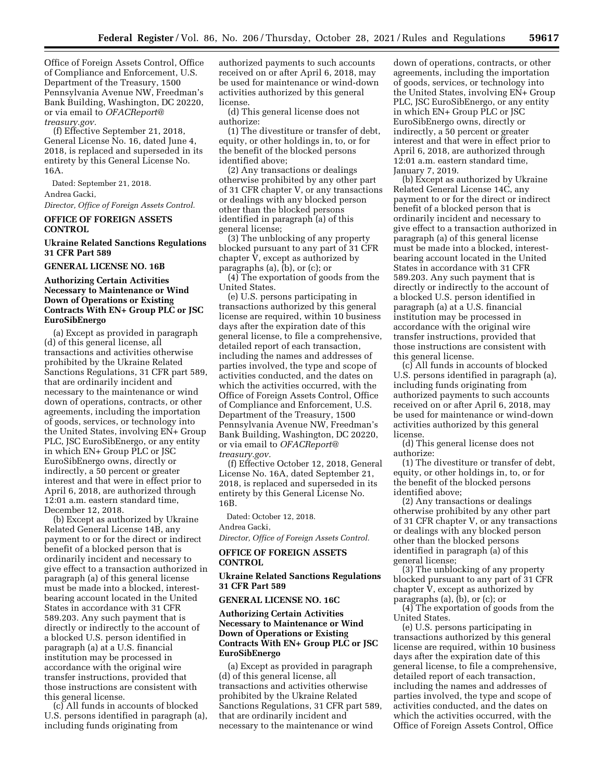Office of Foreign Assets Control, Office of Compliance and Enforcement, U.S. Department of the Treasury, 1500 Pennsylvania Avenue NW, Freedman's Bank Building, Washington, DC 20220, or via email to *[OFACReport@](mailto:OFACReport@treasury.gov) [treasury.gov.](mailto:OFACReport@treasury.gov)* 

(f) Effective September 21, 2018, General License No. 16, dated June 4, 2018, is replaced and superseded in its entirety by this General License No. 16A.

Dated: September 21, 2018. Andrea Gacki,

*Director, Office of Foreign Assets Control.* 

## **OFFICE OF FOREIGN ASSETS CONTROL**

## **Ukraine Related Sanctions Regulations 31 CFR Part 589**

#### **GENERAL LICENSE NO. 16B**

## **Authorizing Certain Activities Necessary to Maintenance or Wind Down of Operations or Existing Contracts With EN+ Group PLC or JSC EuroSibEnergo**

(a) Except as provided in paragraph (d) of this general license, all transactions and activities otherwise prohibited by the Ukraine Related Sanctions Regulations, 31 CFR part 589, that are ordinarily incident and necessary to the maintenance or wind down of operations, contracts, or other agreements, including the importation of goods, services, or technology into the United States, involving EN+ Group PLC, JSC EuroSibEnergo, or any entity in which EN+ Group PLC or JSC EuroSibEnergo owns, directly or indirectly, a 50 percent or greater interest and that were in effect prior to April 6, 2018, are authorized through 12:01 a.m. eastern standard time, December 12, 2018.

(b) Except as authorized by Ukraine Related General License 14B, any payment to or for the direct or indirect benefit of a blocked person that is ordinarily incident and necessary to give effect to a transaction authorized in paragraph (a) of this general license must be made into a blocked, interestbearing account located in the United States in accordance with 31 CFR 589.203. Any such payment that is directly or indirectly to the account of a blocked U.S. person identified in paragraph (a) at a U.S. financial institution may be processed in accordance with the original wire transfer instructions, provided that those instructions are consistent with this general license.

(c) All funds in accounts of blocked U.S. persons identified in paragraph (a), including funds originating from

authorized payments to such accounts received on or after April 6, 2018, may be used for maintenance or wind-down activities authorized by this general license.

(d) This general license does not authorize:

(1) The divestiture or transfer of debt, equity, or other holdings in, to, or for the benefit of the blocked persons identified above;

(2) Any transactions or dealings otherwise prohibited by any other part of 31 CFR chapter V, or any transactions or dealings with any blocked person other than the blocked persons identified in paragraph (a) of this general license;

(3) The unblocking of any property blocked pursuant to any part of 31 CFR chapter V, except as authorized by paragraphs (a), (b), or (c); or

(4) The exportation of goods from the United States.

(e) U.S. persons participating in transactions authorized by this general license are required, within 10 business days after the expiration date of this general license, to file a comprehensive, detailed report of each transaction, including the names and addresses of parties involved, the type and scope of activities conducted, and the dates on which the activities occurred, with the Office of Foreign Assets Control, Office of Compliance and Enforcement, U.S. Department of the Treasury, 1500 Pennsylvania Avenue NW, Freedman's Bank Building, Washington, DC 20220, or via email to *[OFACReport@](mailto:OFACReport@treasury.gov) [treasury.gov.](mailto:OFACReport@treasury.gov)* 

(f) Effective October 12, 2018, General License No. 16A, dated September 21, 2018, is replaced and superseded in its entirety by this General License No. 16B.

Dated: October 12, 2018.

Andrea Gacki,

*Director, Office of Foreign Assets Control.* 

### **OFFICE OF FOREIGN ASSETS CONTROL**

### **Ukraine Related Sanctions Regulations 31 CFR Part 589**

#### **GENERAL LICENSE NO. 16C**

### **Authorizing Certain Activities Necessary to Maintenance or Wind Down of Operations or Existing Contracts With EN+ Group PLC or JSC EuroSibEnergo**

(a) Except as provided in paragraph (d) of this general license, all transactions and activities otherwise prohibited by the Ukraine Related Sanctions Regulations, 31 CFR part 589, that are ordinarily incident and necessary to the maintenance or wind

down of operations, contracts, or other agreements, including the importation of goods, services, or technology into the United States, involving EN+ Group PLC, JSC EuroSibEnergo, or any entity in which EN+ Group PLC or JSC EuroSibEnergo owns, directly or indirectly, a 50 percent or greater interest and that were in effect prior to April 6, 2018, are authorized through 12:01 a.m. eastern standard time, January 7, 2019.

(b) Except as authorized by Ukraine Related General License 14C, any payment to or for the direct or indirect benefit of a blocked person that is ordinarily incident and necessary to give effect to a transaction authorized in paragraph (a) of this general license must be made into a blocked, interestbearing account located in the United States in accordance with 31 CFR 589.203. Any such payment that is directly or indirectly to the account of a blocked U.S. person identified in paragraph (a) at a U.S. financial institution may be processed in accordance with the original wire transfer instructions, provided that those instructions are consistent with this general license.

(c) All funds in accounts of blocked U.S. persons identified in paragraph (a), including funds originating from authorized payments to such accounts received on or after April 6, 2018, may be used for maintenance or wind-down activities authorized by this general license.

(d) This general license does not authorize:

(1) The divestiture or transfer of debt, equity, or other holdings in, to, or for the benefit of the blocked persons identified above;

(2) Any transactions or dealings otherwise prohibited by any other part of 31 CFR chapter V, or any transactions or dealings with any blocked person other than the blocked persons identified in paragraph (a) of this general license;

(3) The unblocking of any property blocked pursuant to any part of 31 CFR chapter V, except as authorized by paragraphs (a), (b), or (c); or

(4) The exportation of goods from the United States.

(e) U.S. persons participating in transactions authorized by this general license are required, within 10 business days after the expiration date of this general license, to file a comprehensive, detailed report of each transaction, including the names and addresses of parties involved, the type and scope of activities conducted, and the dates on which the activities occurred, with the Office of Foreign Assets Control, Office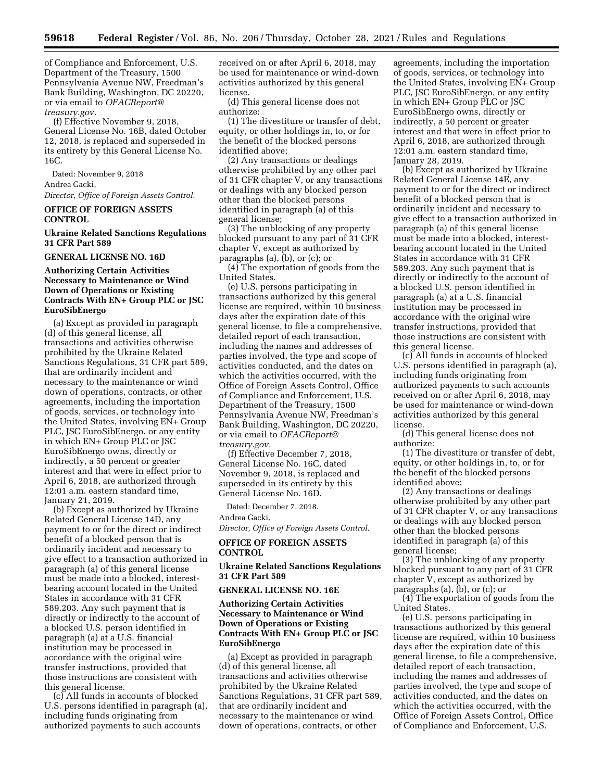of Compliance and Enforcement, U.S. Department of the Treasury, 1500 Pennsylvania Avenue NW, Freedman's Bank Building, Washington, DC 20220, or via email to *[OFACReport@](mailto:OFACReport@treasury.gov) [treasury.gov.](mailto:OFACReport@treasury.gov)* 

(f) Effective November 9, 2018, General License No. 16B, dated October 12, 2018, is replaced and superseded in its entirety by this General License No. 16C.

Dated: November 9, 2018 Andrea Gacki,

*Director, Office of Foreign Assets Control.* 

## **OFFICE OF FOREIGN ASSETS CONTROL**

## **Ukraine Related Sanctions Regulations 31 CFR Part 589**

#### **GENERAL LICENSE NO. 16D**

### **Authorizing Certain Activities Necessary to Maintenance or Wind Down of Operations or Existing Contracts With EN+ Group PLC or JSC EuroSibEnergo**

(a) Except as provided in paragraph (d) of this general license, all transactions and activities otherwise prohibited by the Ukraine Related Sanctions Regulations, 31 CFR part 589, that are ordinarily incident and necessary to the maintenance or wind down of operations, contracts, or other agreements, including the importation of goods, services, or technology into the United States, involving EN+ Group PLC, JSC EuroSibEnergo, or any entity in which EN+ Group PLC or JSC EuroSibEnergo owns, directly or indirectly, a 50 percent or greater interest and that were in effect prior to April 6, 2018, are authorized through 12:01 a.m. eastern standard time, January 21, 2019.

(b) Except as authorized by Ukraine Related General License 14D, any payment to or for the direct or indirect benefit of a blocked person that is ordinarily incident and necessary to give effect to a transaction authorized in paragraph (a) of this general license must be made into a blocked, interestbearing account located in the United States in accordance with 31 CFR 589.203. Any such payment that is directly or indirectly to the account of a blocked U.S. person identified in paragraph (a) at a U.S. financial institution may be processed in accordance with the original wire transfer instructions, provided that those instructions are consistent with this general license.

(c) All funds in accounts of blocked U.S. persons identified in paragraph (a), including funds originating from authorized payments to such accounts

received on or after April 6, 2018, may be used for maintenance or wind-down activities authorized by this general license.

(d) This general license does not authorize:

(1) The divestiture or transfer of debt, equity, or other holdings in, to, or for the benefit of the blocked persons identified above;

(2) Any transactions or dealings otherwise prohibited by any other part of 31 CFR chapter V, or any transactions or dealings with any blocked person other than the blocked persons identified in paragraph (a) of this general license;

(3) The unblocking of any property blocked pursuant to any part of 31 CFR chapter V, except as authorized by paragraphs (a), (b), or (c); or

(4) The exportation of goods from the United States.

(e) U.S. persons participating in transactions authorized by this general license are required, within 10 business days after the expiration date of this general license, to file a comprehensive, detailed report of each transaction, including the names and addresses of parties involved, the type and scope of activities conducted, and the dates on which the activities occurred, with the Office of Foreign Assets Control, Office of Compliance and Enforcement, U.S. Department of the Treasury, 1500 Pennsylvania Avenue NW, Freedman's Bank Building, Washington, DC 20220, or via email to *[OFACReport@](mailto:OFACReport@treasury.gov) [treasury.gov.](mailto:OFACReport@treasury.gov)* 

(f) Effective December 7, 2018, General License No. 16C, dated November 9, 2018, is replaced and superseded in its entirety by this General License No. 16D.

Dated: December 7, 2018. Andrea Gacki,

*Director, Office of Foreign Assets Control.* 

### **OFFICE OF FOREIGN ASSETS CONTROL**

### **Ukraine Related Sanctions Regulations 31 CFR Part 589**

#### **GENERAL LICENSE NO. 16E**

### **Authorizing Certain Activities Necessary to Maintenance or Wind Down of Operations or Existing Contracts With EN+ Group PLC or JSC EuroSibEnergo**

(a) Except as provided in paragraph (d) of this general license, all transactions and activities otherwise prohibited by the Ukraine Related Sanctions Regulations, 31 CFR part 589, that are ordinarily incident and necessary to the maintenance or wind down of operations, contracts, or other

agreements, including the importation of goods, services, or technology into the United States, involving EN+ Group PLC, JSC EuroSibEnergo, or any entity in which EN+ Group PLC or JSC EuroSibEnergo owns, directly or indirectly, a 50 percent or greater interest and that were in effect prior to April 6, 2018, are authorized through 12:01 a.m. eastern standard time, January 28, 2019.

(b) Except as authorized by Ukraine Related General License 14E, any payment to or for the direct or indirect benefit of a blocked person that is ordinarily incident and necessary to give effect to a transaction authorized in paragraph (a) of this general license must be made into a blocked, interestbearing account located in the United States in accordance with 31 CFR 589.203. Any such payment that is directly or indirectly to the account of a blocked U.S. person identified in paragraph (a) at a U.S. financial institution may be processed in accordance with the original wire transfer instructions, provided that those instructions are consistent with this general license.

(c) All funds in accounts of blocked U.S. persons identified in paragraph (a), including funds originating from authorized payments to such accounts received on or after April 6, 2018, may be used for maintenance or wind-down activities authorized by this general license.

(d) This general license does not authorize:

(1) The divestiture or transfer of debt, equity, or other holdings in, to, or for the benefit of the blocked persons identified above;

(2) Any transactions or dealings otherwise prohibited by any other part of 31 CFR chapter V, or any transactions or dealings with any blocked person other than the blocked persons identified in paragraph (a) of this general license;

(3) The unblocking of any property blocked pursuant to any part of 31 CFR chapter V, except as authorized by paragraphs (a), (b), or (c); or

(4) The exportation of goods from the United States.

(e) U.S. persons participating in transactions authorized by this general license are required, within 10 business days after the expiration date of this general license, to file a comprehensive, detailed report of each transaction, including the names and addresses of parties involved, the type and scope of activities conducted, and the dates on which the activities occurred, with the Office of Foreign Assets Control, Office of Compliance and Enforcement, U.S.